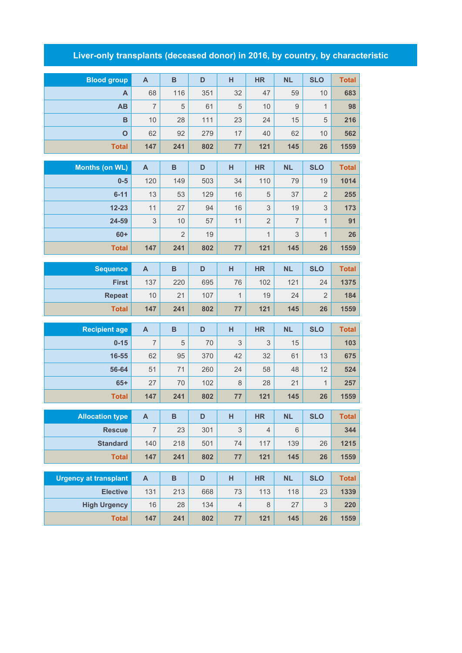## **Liver-only transplants (deceased donor) in 2016, by country, by characteristic**

| <b>Blood group</b>                  | $\mathsf{A}$              | $\, {\bf B}$   | D          | н                    | <b>HR</b>      | <b>NL</b>      | <b>SLO</b>        | <b>Total</b> |
|-------------------------------------|---------------------------|----------------|------------|----------------------|----------------|----------------|-------------------|--------------|
| A                                   | 68                        | 116            | 351        | 32                   | 47             | 59             | 10                | 683          |
| AB                                  | $\overline{7}$            | 5              | 61         | 5                    | 10             | $\overline{9}$ | $\mathbf{1}$      | 98           |
| B                                   | 10                        | 28             | 111        | 23                   | 24             | 15             | 5                 | 216          |
| $\mathbf 0$                         | 62                        | 92             | 279        | 17                   | 40             | 62             | 10                | 562          |
| <b>Total</b>                        | 147                       | 241            | 802        | 77                   | 121            | 145            | 26                | 1559         |
|                                     |                           |                |            |                      |                |                |                   |              |
| <b>Months (on WL)</b>               | A                         | $\overline{B}$ | D          | H                    | <b>HR</b>      | <b>NL</b>      | <b>SLO</b>        | <b>Total</b> |
| $0-5$                               | 120                       | 149            | 503        | 34                   | 110            | 79             | 19                | 1014         |
| $6 - 11$                            | 13                        | 53             | 129        | 16                   | 5              | 37             | $\overline{2}$    | 255          |
| $12 - 23$                           | 11                        | 27             | 94         | 16                   | 3              | 19             | $\mathsf 3$       | 173          |
| 24-59                               | 3                         | 10             | 57         | 11                   | $\overline{2}$ | $\overline{7}$ | $\mathbf 1$       | 91           |
| $60+$                               |                           | $\overline{2}$ | 19         |                      | $\mathbf{1}$   | 3              | $\mathbf 1$       | 26           |
| <b>Total</b>                        | 147                       | 241            | 802        | 77                   | 121            | 145            | 26                | 1559         |
| <b>Sequence</b>                     | A                         | $\, {\bf B}$   | D          | H                    | <b>HR</b>      | <b>NL</b>      | <b>SLO</b>        | <b>Total</b> |
| <b>First</b>                        | 137                       | 220            | 695        | 76                   | 102            | 121            | 24                | 1375         |
| <b>Repeat</b>                       | 10                        | 21             | 107        | $\mathbf{1}$         | 19             | 24             | $\overline{2}$    | 184          |
| <b>Total</b>                        | 147                       | 241            | 802        | 77                   | 121            | 145            | 26                | 1559         |
| <b>Recipient age</b>                | A                         | $\, {\bf B}$   | D          | H                    | <b>HR</b>      | <b>NL</b>      | <b>SLO</b>        | <b>Total</b> |
| $0 - 15$                            | $\overline{7}$            | 5              | 70         | 3                    | 3              | 15             |                   | 103          |
| 16-55                               | 62                        | 95             | 370        | 42                   | 32             | 61             | 13                | 675          |
| 56-64                               | 51                        | 71             | 260        | 24                   | 58             | 48             | 12                | 524          |
| $65+$                               | 27                        | 70             | 102        | 8                    | 28             | 21             | 1                 | 257          |
| <b>Total</b>                        | 147                       | 241            | 802        | 77                   | 121            | 145            | 26                | 1559         |
|                                     |                           |                |            |                      |                |                |                   |              |
| <b>Allocation type</b>              | A                         | B              | D          | H                    | <b>HR</b>      | <b>NL</b>      | <b>SLO</b>        | <b>Total</b> |
| <b>Rescue</b>                       | $\overline{7}$            | 23             | 301        | 3                    | $\sqrt{4}$     | $6\,$          |                   | 344          |
| <b>Standard</b>                     | 140                       | 218            | 501        | 74                   | 117            | 139            | 26                | 1215         |
| <b>Total</b>                        | 147                       | 241            | 802        | 77                   | 121            | 145            | 26                | 1559         |
| <b>Urgency at transplant</b>        |                           | $\, {\bf B}$   | D          | H                    | <b>HR</b>      | <b>NL</b>      | <b>SLO</b>        | <b>Total</b> |
|                                     | $\boldsymbol{\mathsf{A}}$ |                |            |                      |                |                |                   |              |
|                                     |                           |                |            |                      |                |                |                   |              |
| <b>Elective</b>                     | 131                       | 213            | 668        | 73                   | 113            | 118            | 23                | 1339         |
| <b>High Urgency</b><br><b>Total</b> | 16<br>147                 | 28<br>241      | 134<br>802 | $\overline{4}$<br>77 | $\,8\,$<br>121 | 27<br>145      | $\mathsf 3$<br>26 | 220<br>1559  |